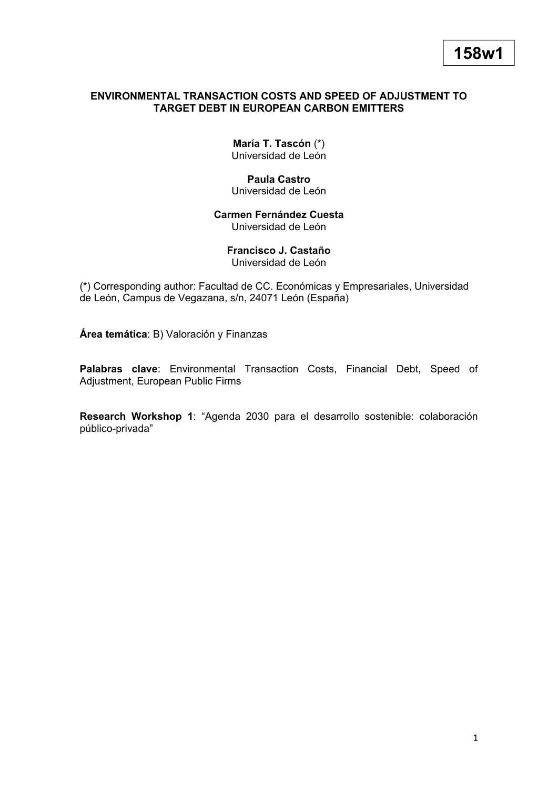## **ENVIRONMENTAL TRANSACTION COSTS AND SPEED OF ADJUSTMENT TO TARGET DEBT IN EUROPEAN CARBON EMITTERS**

**María T. Tascón** (\*) Universidad de León

**Paula Castro** Universidad de León

**Carmen Fernández Cuesta** Universidad de León

> **Francisco J. Castaño** Universidad de León

(\*) Corresponding author: Facultad de CC. Económicas y Empresariales, Universidad de León, Campus de Vegazana, s/n, 24071 León (España)

**Área temática**: B) Valoración y Finanzas

**Palabras clave**: Environmental Transaction Costs, Financial Debt, Speed of Adjustment, European Public Firms

**Research Workshop 1**: "Agenda 2030 para el desarrollo sostenible: colaboración público-privada"